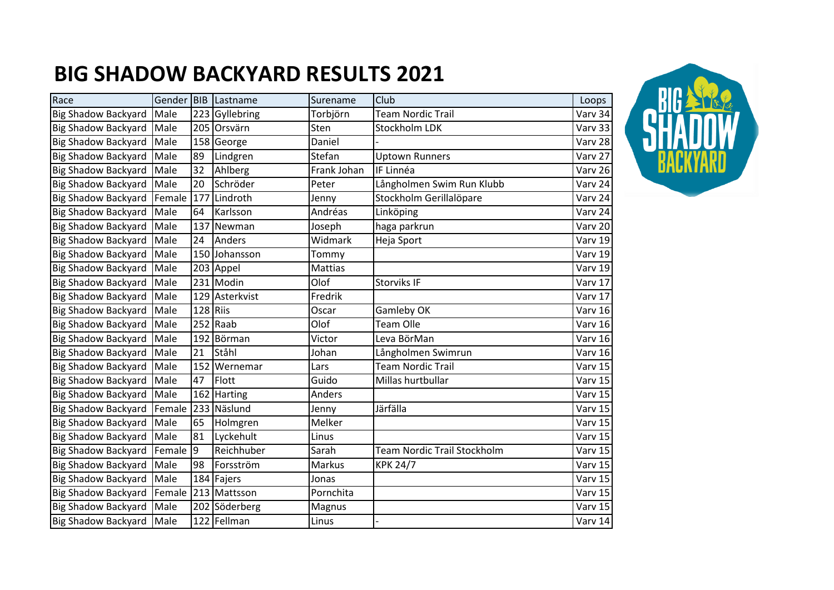## **BIG SHADOW BACKYARD RESULTS 2021**

| Race                       | Gender BIB |     | Lastname                    | Surename       | Club                               | Loops   |
|----------------------------|------------|-----|-----------------------------|----------------|------------------------------------|---------|
| <b>Big Shadow Backyard</b> | Male       |     | $\overline{223}$ Gyllebring | Torbjörn       | Team Nordic Trail                  | Varv 34 |
| <b>Big Shadow Backyard</b> | Male       |     | 205 Orsvärn                 | Sten           | Stockholm LDK                      | Varv 33 |
| <b>Big Shadow Backyard</b> | Male       |     | 158 George                  | Daniel         |                                    | Varv 28 |
| <b>Big Shadow Backyard</b> | Male       | 89  | Lindgren                    | Stefan         | <b>Uptown Runners</b>              | Varv 27 |
| <b>Big Shadow Backyard</b> | Male       | 32  | Ahlberg                     | Frank Johan    | IF Linnéa                          | Varv 26 |
| <b>Big Shadow Backyard</b> | Male       | 20  | Schröder                    | Peter          | Långholmen Swim Run Klubb          | Varv 24 |
| <b>Big Shadow Backyard</b> | Female     | 177 | Lindroth                    | Jenny          | Stockholm Gerillalöpare            | Varv 24 |
| <b>Big Shadow Backyard</b> | Male       | 64  | Karlsson                    | Andréas        | Linköping                          | Varv 24 |
| <b>Big Shadow Backyard</b> | Male       | 137 | Newman                      | Joseph         | haga parkrun                       | Varv 20 |
| <b>Big Shadow Backyard</b> | Male       | 24  | Anders                      | Widmark        | Heja Sport                         | Varv 19 |
| <b>Big Shadow Backyard</b> | Male       |     | 150 Johansson               | Tommy          |                                    | Varv 19 |
| <b>Big Shadow Backyard</b> | Male       |     | 203 Appel                   | <b>Mattias</b> |                                    | Varv 19 |
| <b>Big Shadow Backyard</b> | Male       |     | 231 Modin                   | Olof           | Storviks IF                        | Varv 17 |
| <b>Big Shadow Backyard</b> | Male       |     | 129 Asterkvist              | Fredrik        |                                    | Varv 17 |
| <b>Big Shadow Backyard</b> | Male       |     | 128 Riis                    | Oscar          | Gamleby OK                         | Varv 16 |
| <b>Big Shadow Backyard</b> | Male       | 252 | Raab                        | Olof           | <b>Team Olle</b>                   | Varv 16 |
| <b>Big Shadow Backyard</b> | Male       |     | 192 Börman                  | Victor         | Leva BörMan                        | Varv 16 |
| <b>Big Shadow Backyard</b> | Male       | 21  | <b>Ståhl</b>                | Johan          | Långholmen Swimrun                 | Varv 16 |
| <b>Big Shadow Backyard</b> | Male       | 152 | Wernemar                    | Lars           | <b>Team Nordic Trail</b>           | Varv 15 |
| <b>Big Shadow Backyard</b> | Male       | 47  | Flott                       | Guido          | Millas hurtbullar                  | Varv 15 |
| <b>Big Shadow Backyard</b> | Male       | 162 | Harting                     | Anders         |                                    | Varv 15 |
| <b>Big Shadow Backyard</b> | Female     |     | 233 Näslund                 | Jenny          | Järfälla                           | Varv 15 |
| <b>Big Shadow Backyard</b> | Male       | 65  | Holmgren                    | Melker         |                                    | Varv 15 |
| <b>Big Shadow Backyard</b> | Male       | 81  | Lyckehult                   | Linus          |                                    | Varv 15 |
| <b>Big Shadow Backyard</b> | Female     | 9   | Reichhuber                  | Sarah          | <b>Team Nordic Trail Stockholm</b> | Varv 15 |
| <b>Big Shadow Backyard</b> | Male       | 98  | Forsström                   | Markus         | <b>KPK 24/7</b>                    | Varv 15 |
| <b>Big Shadow Backyard</b> | Male       |     | 184 Fajers                  | Jonas          |                                    | Varv 15 |
| <b>Big Shadow Backyard</b> | Female     |     | 213 Mattsson                | Pornchita      |                                    | Varv 15 |
| <b>Big Shadow Backyard</b> | Male       | 202 | Söderberg                   | Magnus         |                                    | Varv 15 |
| Big Shadow Backyard Male   |            |     | 122 Fellman                 | Linus          |                                    | Varv 14 |

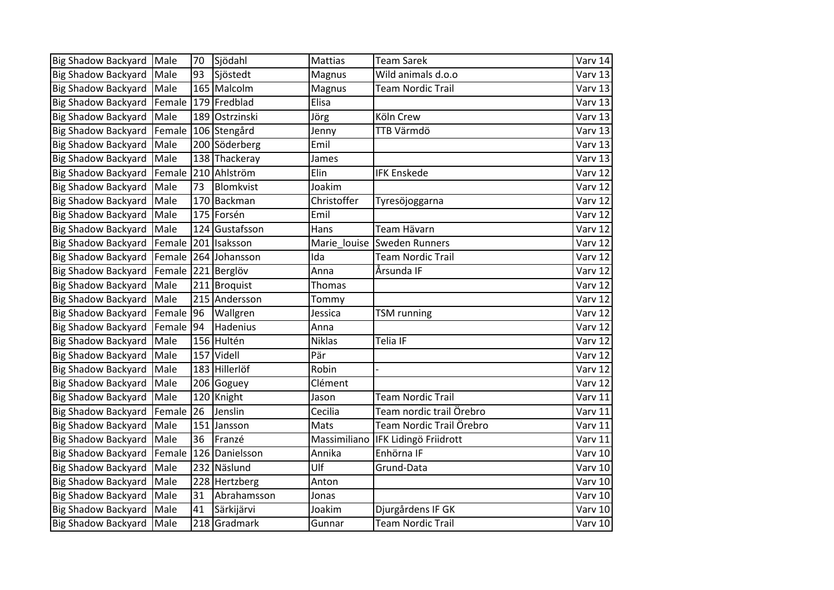| <b>Big Shadow Backyard</b> | Male   | 70  | Sjödahl        | Mattias       | <b>Team Sarek</b>        | Varv 14 |
|----------------------------|--------|-----|----------------|---------------|--------------------------|---------|
| <b>Big Shadow Backyard</b> | Male   | 93  | Sjöstedt       | Magnus        | Wild animals d.o.o       | Varv 13 |
| <b>Big Shadow Backyard</b> | Male   |     | 165 Malcolm    | Magnus        | Team Nordic Trail        | Varv 13 |
| <b>Big Shadow Backyard</b> | Female |     | 179 Fredblad   | Elisa         |                          | Varv 13 |
| <b>Big Shadow Backyard</b> | Male   | 189 | Ostrzinski     | Jörg          | Köln Crew                | Varv 13 |
| <b>Big Shadow Backyard</b> | Female |     | 106 Stengård   | Jenny         | TTB Värmdö               | Varv 13 |
| <b>Big Shadow Backyard</b> | Male   |     | 200 Söderberg  | Emil          |                          | Varv 13 |
| <b>Big Shadow Backyard</b> | Male   |     | 138 Thackeray  | James         |                          | Varv 13 |
| <b>Big Shadow Backyard</b> | Female | 210 | Ahlström       | Elin          | <b>IFK Enskede</b>       | Varv 12 |
| <b>Big Shadow Backyard</b> | Male   | 73  | Blomkvist      | Joakim        |                          | Varv 12 |
| <b>Big Shadow Backyard</b> | Male   | 170 | Backman        | Christoffer   | Tyresöjoggarna           | Varv 12 |
| <b>Big Shadow Backyard</b> | Male   |     | 175 Forsén     | Emil          |                          | Varv 12 |
| <b>Big Shadow Backyard</b> | Male   |     | 124 Gustafsson | Hans          | Team Hävarn              | Varv 12 |
| <b>Big Shadow Backyard</b> | Female | 201 | Isaksson       | Marie louise  | Sweden Runners           | Varv 12 |
| <b>Big Shadow Backyard</b> | Female |     | 264 Johansson  | Ida           | <b>Team Nordic Trail</b> | Varv 12 |
| <b>Big Shadow Backyard</b> | Female |     | 221 Berglöv    | Anna          | Årsunda IF               | Varv 12 |
| <b>Big Shadow Backyard</b> | Male   | 211 | Broquist       | Thomas        |                          | Varv 12 |
| <b>Big Shadow Backyard</b> | Male   |     | 215 Andersson  | Tommy         |                          | Varv 12 |
| <b>Big Shadow Backyard</b> | Female | 96  | Wallgren       | Jessica       | <b>TSM</b> running       | Varv 12 |
| <b>Big Shadow Backyard</b> | Female | 94  | Hadenius       | Anna          |                          | Varv 12 |
| <b>Big Shadow Backyard</b> | Male   |     | 156 Hultén     | <b>Niklas</b> | <b>Telia IF</b>          | Varv 12 |
| <b>Big Shadow Backyard</b> | Male   | 157 | Videll         | Pär           |                          | Varv 12 |
| <b>Big Shadow Backyard</b> | Male   |     | 183 Hillerlöf  | Robin         |                          | Varv 12 |
| <b>Big Shadow Backyard</b> | Male   |     | 206 Goguey     | Clément       |                          | Varv 12 |
| <b>Big Shadow Backyard</b> | Male   |     | 120 Knight     | Jason         | <b>Team Nordic Trail</b> | Varv 11 |
| <b>Big Shadow Backyard</b> | Female | 26  | Jenslin        | Cecilia       | Team nordic trail Örebro | Varv 11 |
| <b>Big Shadow Backyard</b> | Male   | 151 | Jansson        | Mats          | Team Nordic Trail Örebro | Varv 11 |
| <b>Big Shadow Backyard</b> | Male   | 36  | Franzé         | Massimiliano  | IFK Lidingö Friidrott    | Varv 11 |
| <b>Big Shadow Backyard</b> | Female | 126 | Danielsson     | Annika        | Enhörna IF               | Varv 10 |
| <b>Big Shadow Backyard</b> | Male   | 232 | Näslund        | Ulf           | Grund-Data               | Varv 10 |
| <b>Big Shadow Backyard</b> | Male   | 228 | Hertzberg      | Anton         |                          | Varv 10 |
| <b>Big Shadow Backyard</b> | Male   | 31  | Abrahamsson    | Jonas         |                          | Varv 10 |
| <b>Big Shadow Backyard</b> | Male   | 41  | Särkijärvi     | Joakim        | Djurgårdens IF GK        | Varv 10 |
| Big Shadow Backyard Male   |        |     | 218 Gradmark   | Gunnar        | <b>Team Nordic Trail</b> | Varv 10 |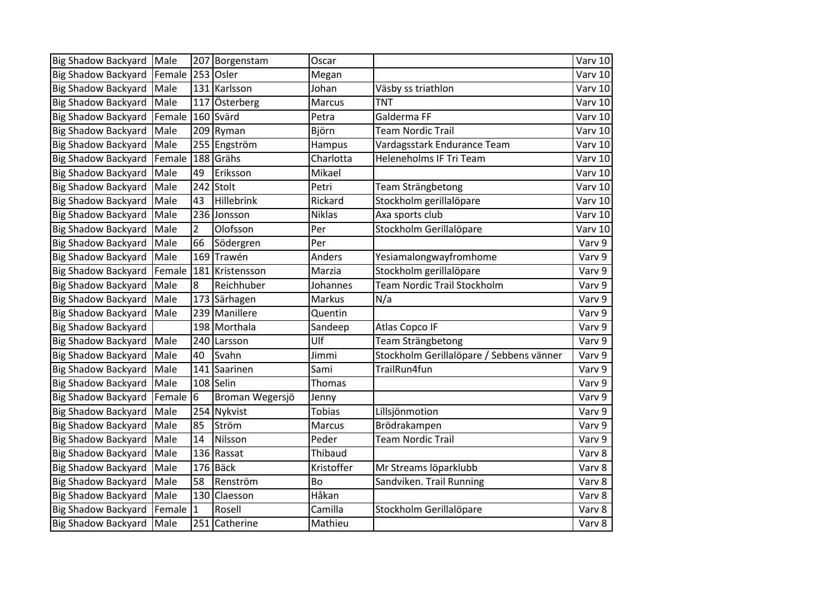| <b>Big Shadow Backyard</b> | Male   | 207            | Borgenstam      | Oscar         |                                          | Varv 10 |
|----------------------------|--------|----------------|-----------------|---------------|------------------------------------------|---------|
| Big Shadow Backyard        | Female | 253            | Osler           | Megan         |                                          | Varv 10 |
| <b>Big Shadow Backyard</b> | Male   |                | 131 Karlsson    | Johan         | Väsby ss triathlon                       | Varv 10 |
| <b>Big Shadow Backyard</b> | Male   | 117            | Österberg       | Marcus        | <b>TNT</b>                               | Varv 10 |
| <b>Big Shadow Backyard</b> | Female | 160            | Svärd           | Petra         | Galderma FF                              | Varv 10 |
| <b>Big Shadow Backyard</b> | Male   | 209            | Ryman           | Björn         | <b>Team Nordic Trail</b>                 | Varv 10 |
| Big Shadow Backyard        | Male   | 255            | Engström        | Hampus        | Vardagsstark Endurance Team              | Varv 10 |
| <b>Big Shadow Backyard</b> | Female | 188            | Grähs           | Charlotta     | Heleneholms IF Tri Team                  | Varv 10 |
| <b>Big Shadow Backyard</b> | Male   | 49             | Eriksson        | Mikael        |                                          | Varv 10 |
| <b>Big Shadow Backyard</b> | Male   | 242            | Stolt           | Petri         | Team Strängbetong                        | Varv 10 |
| <b>Big Shadow Backyard</b> | Male   | 43             | Hillebrink      | Rickard       | Stockholm gerillalöpare                  | Varv 10 |
| <b>Big Shadow Backyard</b> | Male   | 236            | Jonsson         | <b>Niklas</b> | Axa sports club                          | Varv 10 |
| <b>Big Shadow Backyard</b> | Male   | $\overline{2}$ | Olofsson        | Per           | Stockholm Gerillalöpare                  | Varv 10 |
| <b>Big Shadow Backyard</b> | Male   | 66             | Södergren       | Per           |                                          | Varv 9  |
| <b>Big Shadow Backyard</b> | Male   | 169            | Trawén          | Anders        | Yesiamalongwayfromhome                   | Varv 9  |
| <b>Big Shadow Backyard</b> | Female | 181            | Kristensson     | Marzia        | Stockholm gerillalöpare                  | Varv 9  |
| <b>Big Shadow Backyard</b> | Male   | 8              | Reichhuber      | Johannes      | Team Nordic Trail Stockholm              | Varv 9  |
| <b>Big Shadow Backyard</b> | Male   |                | 173 Särhagen    | Markus        | N/a                                      | Varv 9  |
| <b>Big Shadow Backyard</b> | Male   | 239            | Manillere       | Quentin       |                                          | Varv 9  |
| <b>Big Shadow Backyard</b> |        |                | 198 Morthala    | Sandeep       | <b>Atlas Copco IF</b>                    | Varv 9  |
| <b>Big Shadow Backyard</b> | Male   | 240            | Larsson         | Ulf           | Team Strängbetong                        | Varv 9  |
| <b>Big Shadow Backyard</b> | Male   | 40             | Svahn           | Jimmi         | Stockholm Gerillalöpare / Sebbens vänner | Varv 9  |
| <b>Big Shadow Backyard</b> | Male   | 141            | Saarinen        | Sami          | TrailRun4fun                             | Varv 9  |
| <b>Big Shadow Backyard</b> | Male   | 108            | Selin           | Thomas        |                                          | Varv 9  |
| <b>Big Shadow Backyard</b> | Female | 6              | Broman Wegersjö | Jenny         |                                          | Varv 9  |
| <b>Big Shadow Backyard</b> | Male   | 254            | Nykvist         | Tobias        | Lillsjönmotion                           | Varv 9  |
| <b>Big Shadow Backyard</b> | Male   | 85             | Ström           | Marcus        | Brödrakampen                             | Varv 9  |
| <b>Big Shadow Backyard</b> | Male   | 14             | Nilsson         | Peder         | <b>Team Nordic Trail</b>                 | Varv 9  |
| <b>Big Shadow Backyard</b> | Male   | 136            | Rassat          | Thibaud       |                                          | Varv 8  |
| <b>Big Shadow Backyard</b> | Male   |                | $176$ Bäck      | Kristoffer    | Mr Streams löparklubb                    | Varv 8  |
| <b>Big Shadow Backyard</b> | Male   | 58             | Renström        | Bo            | Sandviken. Trail Running                 | Varv 8  |
| <b>Big Shadow Backyard</b> | Male   | 130            | Claesson        | Håkan         |                                          | Varv 8  |
| <b>Big Shadow Backyard</b> | Female | $\vert$ 1      | Rosell          | Camilla       | Stockholm Gerillalöpare                  | Varv 8  |
| <b>Big Shadow Backyard</b> | Male   |                | 251 Catherine   | Mathieu       |                                          | Varv 8  |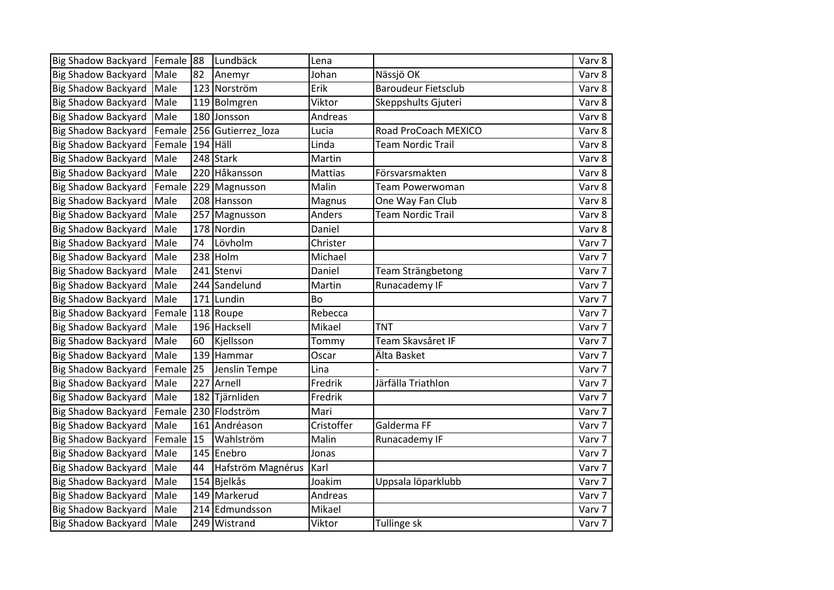| Big Shadow Backyard Female |        | 88  | Lundbäck           | Lena           |                            | Varv 8 |
|----------------------------|--------|-----|--------------------|----------------|----------------------------|--------|
| <b>Big Shadow Backyard</b> | Male   | 82  | Anemyr             | Johan          | Nässjö OK                  | Varv 8 |
| <b>Big Shadow Backyard</b> | Male   | 123 | Norström           | Erik           | <b>Baroudeur Fietsclub</b> | Varv 8 |
| <b>Big Shadow Backyard</b> | Male   |     | 119 Bolmgren       | Viktor         | Skeppshults Gjuteri        | Varv 8 |
| <b>Big Shadow Backyard</b> | Male   |     | 180 Jonsson        | Andreas        |                            | Varv 8 |
| <b>Big Shadow Backyard</b> | Female |     | 256 Gutierrez loza | Lucia          | Road ProCoach MEXICO       | Varv 8 |
| <b>Big Shadow Backyard</b> | Female | 194 | <b>Häll</b>        | Linda          | <b>Team Nordic Trail</b>   | Varv 8 |
| <b>Big Shadow Backyard</b> | Male   |     | 248 Stark          | Martin         |                            | Varv 8 |
| <b>Big Shadow Backyard</b> | Male   | 220 | Håkansson          | <b>Mattias</b> | Försvarsmakten             | Varv 8 |
| <b>Big Shadow Backyard</b> | Female | 229 | Magnusson          | Malin          | Team Powerwoman            | Varv 8 |
| <b>Big Shadow Backyard</b> | Male   |     | 208 Hansson        | Magnus         | One Way Fan Club           | Varv 8 |
| <b>Big Shadow Backyard</b> | Male   | 257 | Magnusson          | Anders         | <b>Team Nordic Trail</b>   | Varv 8 |
| <b>Big Shadow Backyard</b> | Male   |     | 178 Nordin         | Daniel         |                            | Varv 8 |
| <b>Big Shadow Backyard</b> | Male   | 74  | Lövholm            | Christer       |                            | Varv 7 |
| <b>Big Shadow Backyard</b> | Male   | 238 | Holm               | Michael        |                            | Varv 7 |
| <b>Big Shadow Backyard</b> | Male   | 241 | Stenvi             | Daniel         | Team Strängbetong          | Varv 7 |
| <b>Big Shadow Backyard</b> | Male   | 244 | Sandelund          | Martin         | Runacademy IF              | Varv 7 |
| <b>Big Shadow Backyard</b> | Male   |     | 171 Lundin         | <b>Bo</b>      |                            | Varv 7 |
| <b>Big Shadow Backyard</b> | Female |     | 118 Roupe          | Rebecca        |                            | Varv 7 |
| <b>Big Shadow Backyard</b> | Male   |     | 196 Hacksell       | Mikael         | <b>TNT</b>                 | Varv 7 |
| <b>Big Shadow Backyard</b> | Male   | 60  | Kjellsson          | Tommy          | Team Skavsåret IF          | Varv 7 |
| <b>Big Shadow Backyard</b> | Male   | 139 | Hammar             | Oscar          | Älta Basket                | Varv 7 |
| <b>Big Shadow Backyard</b> | Female | 25  | Jenslin Tempe      | Lina           |                            | Varv 7 |
| <b>Big Shadow Backyard</b> | Male   | 227 | Arnell             | Fredrik        | Järfälla Triathlon         | Varv 7 |
| <b>Big Shadow Backyard</b> | Male   | 182 | Tjärnliden         | Fredrik        |                            | Varv 7 |
| <b>Big Shadow Backyard</b> | Female | 230 | Flodström          | Mari           |                            | Varv 7 |
| <b>Big Shadow Backyard</b> | Male   | 161 | Andréason          | Cristoffer     | Galderma FF                | Varv 7 |
| <b>Big Shadow Backyard</b> | Female | 15  | Wahlström          | Malin          | Runacademy IF              | Varv 7 |
| <b>Big Shadow Backyard</b> | Male   |     | 145 Enebro         | Jonas          |                            | Varv 7 |
| <b>Big Shadow Backyard</b> | Male   | 44  | Hafström Magnérus  | Karl           |                            | Varv 7 |
| <b>Big Shadow Backyard</b> | Male   |     | 154 Bjelkås        | Joakim         | Uppsala löparklubb         | Varv 7 |
| <b>Big Shadow Backyard</b> | Male   | 149 | Markerud           | Andreas        |                            | Varv 7 |
| <b>Big Shadow Backyard</b> | Male   |     | 214 Edmundsson     | Mikael         |                            | Varv 7 |
| Big Shadow Backyard Male   |        |     | 249 Wistrand       | Viktor         | Tullinge sk                | Varv 7 |